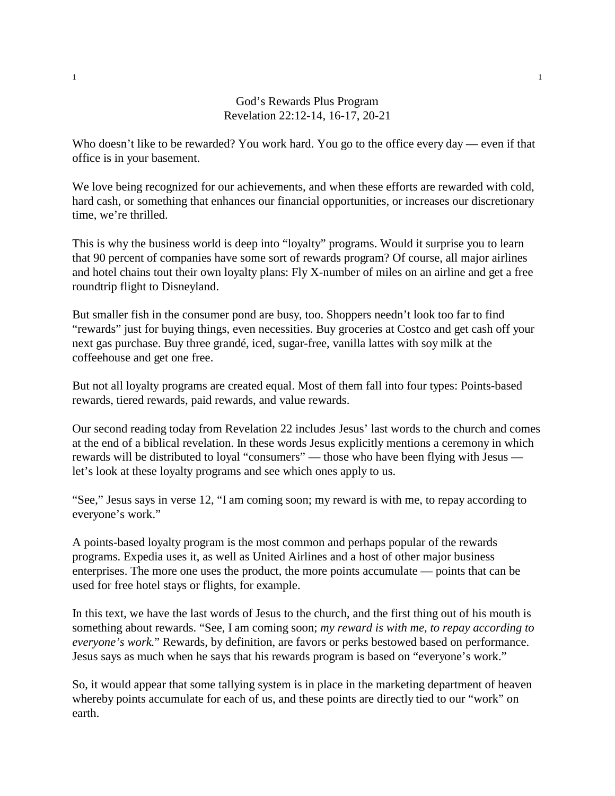## God's Rewards Plus Program Revelation 22:12-14, 16-17, 20-21

Who doesn't like to be rewarded? You work hard. You go to the office every day — even if that office is in your basement.

We love being recognized for our achievements, and when these efforts are rewarded with cold, hard cash, or something that enhances our financial opportunities, or increases our discretionary time, we're thrilled.

This is why the business world is deep into "loyalty" programs. Would it surprise you to learn that 90 percent of companies have some sort of rewards program? Of course, all major airlines and hotel chains tout their own loyalty plans: Fly X-number of miles on an airline and get a free roundtrip flight to Disneyland.

But smaller fish in the consumer pond are busy, too. Shoppers needn't look too far to find "rewards" just for buying things, even necessities. Buy groceries at Costco and get cash off your next gas purchase. Buy three grandé, iced, sugar-free, vanilla lattes with soy milk at the coffeehouse and get one free.

But not all loyalty programs are created equal. Most of them fall into four types: Points-based rewards, tiered rewards, paid rewards, and value rewards.

Our second reading today from Revelation 22 includes Jesus' last words to the church and comes at the end of a biblical revelation. In these words Jesus explicitly mentions a ceremony in which rewards will be distributed to loyal "consumers" — those who have been flying with Jesus let's look at these loyalty programs and see which ones apply to us.

"See," Jesus says in verse 12, "I am coming soon; my reward is with me, to repay according to everyone's work."

A points-based loyalty program is the most common and perhaps popular of the rewards programs. Expedia uses it, as well as United Airlines and a host of other major business enterprises. The more one uses the product, the more points accumulate — points that can be used for free hotel stays or flights, for example.

In this text, we have the last words of Jesus to the church, and the first thing out of his mouth is something about rewards. "See, I am coming soon; *my reward is with me, to repay according to everyone's work*." Rewards, by definition, are favors or perks bestowed based on performance. Jesus says as much when he says that his rewards program is based on "everyone's work."

So, it would appear that some tallying system is in place in the marketing department of heaven whereby points accumulate for each of us, and these points are directly tied to our "work" on earth.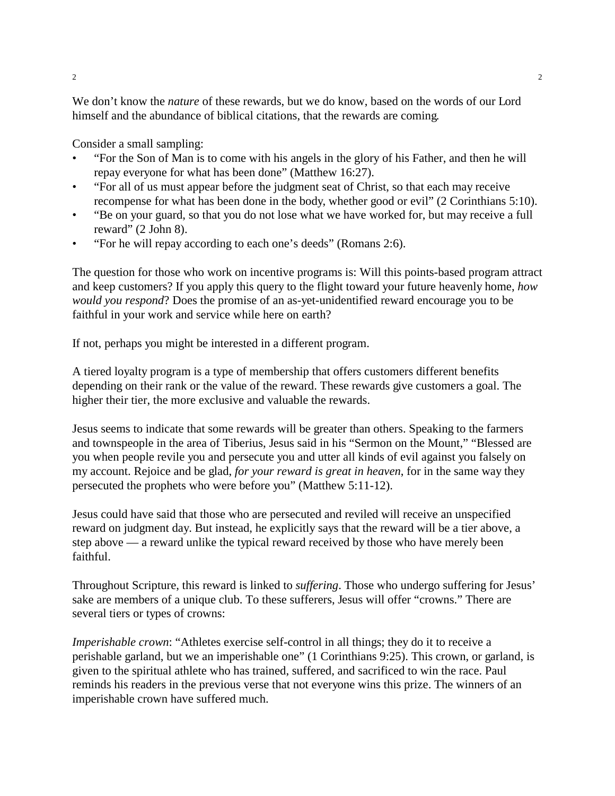We don't know the *nature* of these rewards, but we do know, based on the words of our Lord himself and the abundance of biblical citations, that the rewards are coming.

Consider a small sampling:

- "For the Son of Man is to come with his angels in the glory of his Father, and then he will repay everyone for what has been done" (Matthew 16:27).
- "For all of us must appear before the judgment seat of Christ, so that each may receive recompense for what has been done in the body, whether good or evil" (2 Corinthians 5:10).
- "Be on your guard, so that you do not lose what we have worked for, but may receive a full reward" (2 John 8).
- "For he will repay according to each one's deeds" (Romans 2:6).

The question for those who work on incentive programs is: Will this points-based program attract and keep customers? If you apply this query to the flight toward your future heavenly home, *how would you respond*? Does the promise of an as-yet-unidentified reward encourage you to be faithful in your work and service while here on earth?

If not, perhaps you might be interested in a different program.

A tiered loyalty program is a type of membership that offers customers different benefits depending on their rank or the value of the reward. These rewards give customers a goal. The higher their tier, the more exclusive and valuable the rewards.

Jesus seems to indicate that some rewards will be greater than others. Speaking to the farmers and townspeople in the area of Tiberius, Jesus said in his "Sermon on the Mount," "Blessed are you when people revile you and persecute you and utter all kinds of evil against you falsely on my account. Rejoice and be glad, *for your reward is great in heaven*, for in the same way they persecuted the prophets who were before you" (Matthew 5:11-12).

Jesus could have said that those who are persecuted and reviled will receive an unspecified reward on judgment day. But instead, he explicitly says that the reward will be a tier above, a step above — a reward unlike the typical reward received by those who have merely been faithful.

Throughout Scripture, this reward is linked to *suffering*. Those who undergo suffering for Jesus' sake are members of a unique club. To these sufferers, Jesus will offer "crowns." There are several tiers or types of crowns:

*Imperishable crown*: "Athletes exercise self-control in all things; they do it to receive a perishable garland, but we an imperishable one" (1 Corinthians 9:25). This crown, or garland, is given to the spiritual athlete who has trained, suffered, and sacrificed to win the race. Paul reminds his readers in the previous verse that not everyone wins this prize. The winners of an imperishable crown have suffered much.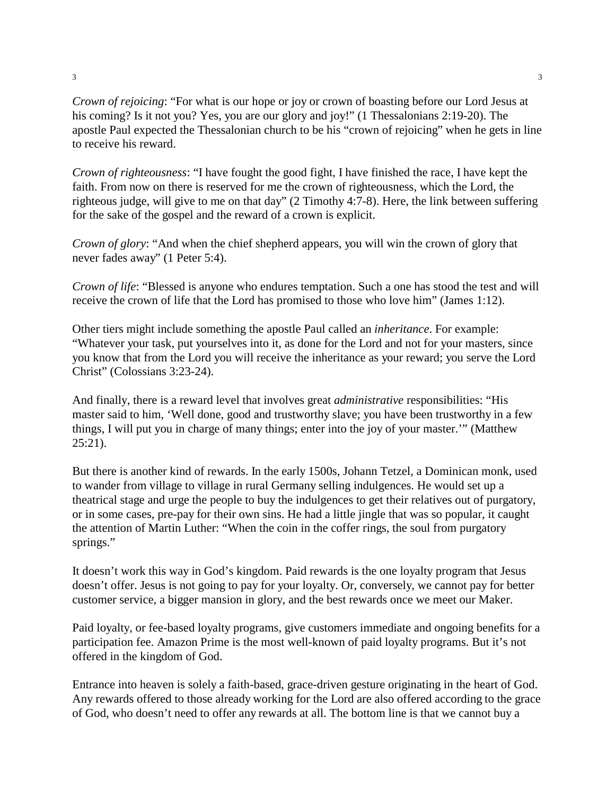*Crown of rejoicing*: "For what is our hope or joy or crown of boasting before our Lord Jesus at his coming? Is it not you? Yes, you are our glory and joy!" (1 Thessalonians 2:19-20). The apostle Paul expected the Thessalonian church to be his "crown of rejoicing" when he gets in line to receive his reward.

*Crown of righteousness*: "I have fought the good fight, I have finished the race, I have kept the faith. From now on there is reserved for me the crown of righteousness, which the Lord, the righteous judge, will give to me on that day" (2 Timothy 4:7-8). Here, the link between suffering for the sake of the gospel and the reward of a crown is explicit.

*Crown of glory*: "And when the chief shepherd appears, you will win the crown of glory that never fades away" (1 Peter 5:4).

*Crown of life*: "Blessed is anyone who endures temptation. Such a one has stood the test and will receive the crown of life that the Lord has promised to those who love him" (James 1:12).

Other tiers might include something the apostle Paul called an *inheritance*. For example: "Whatever your task, put yourselves into it, as done for the Lord and not for your masters, since you know that from the Lord you will receive the inheritance as your reward; you serve the Lord Christ" (Colossians 3:23-24).

And finally, there is a reward level that involves great *administrative* responsibilities: "His master said to him, 'Well done, good and trustworthy slave; you have been trustworthy in a few things, I will put you in charge of many things; enter into the joy of your master.'" (Matthew  $25:21$ ).

But there is another kind of rewards. In the early 1500s, Johann Tetzel, a Dominican monk, used to wander from village to village in rural Germany selling indulgences. He would set up a theatrical stage and urge the people to buy the indulgences to get their relatives out of purgatory, or in some cases, pre-pay for their own sins. He had a little jingle that was so popular, it caught the attention of Martin Luther: "When the coin in the coffer rings, the soul from purgatory springs."

It doesn't work this way in God's kingdom. Paid rewards is the one loyalty program that Jesus doesn't offer. Jesus is not going to pay for your loyalty. Or, conversely, we cannot pay for better customer service, a bigger mansion in glory, and the best rewards once we meet our Maker.

Paid loyalty, or fee-based loyalty programs, give customers immediate and ongoing benefits for a participation fee. Amazon Prime is the most well-known of paid loyalty programs. But it's not offered in the kingdom of God.

Entrance into heaven is solely a faith-based, grace-driven gesture originating in the heart of God. Any rewards offered to those already working for the Lord are also offered according to the grace of God, who doesn't need to offer any rewards at all. The bottom line is that we cannot buy a